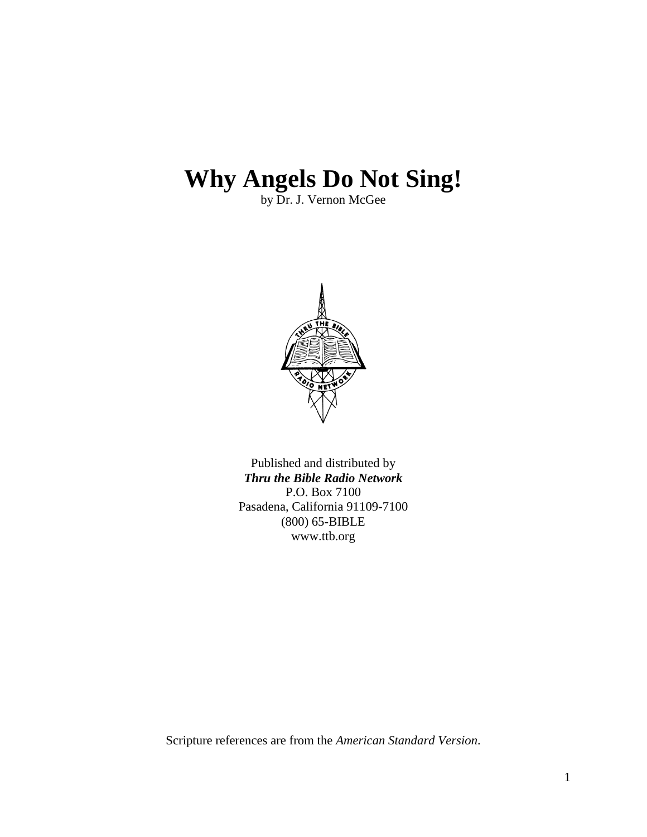## **Why Angels Do Not Sing!**

by Dr. J. Vernon McGee



Published and distributed by *Thru the Bible Radio Network* P.O. Box 7100 Pasadena, California 91109-7100 (800) 65-BIBLE www.ttb.org

Scripture references are from the *American Standard Version*.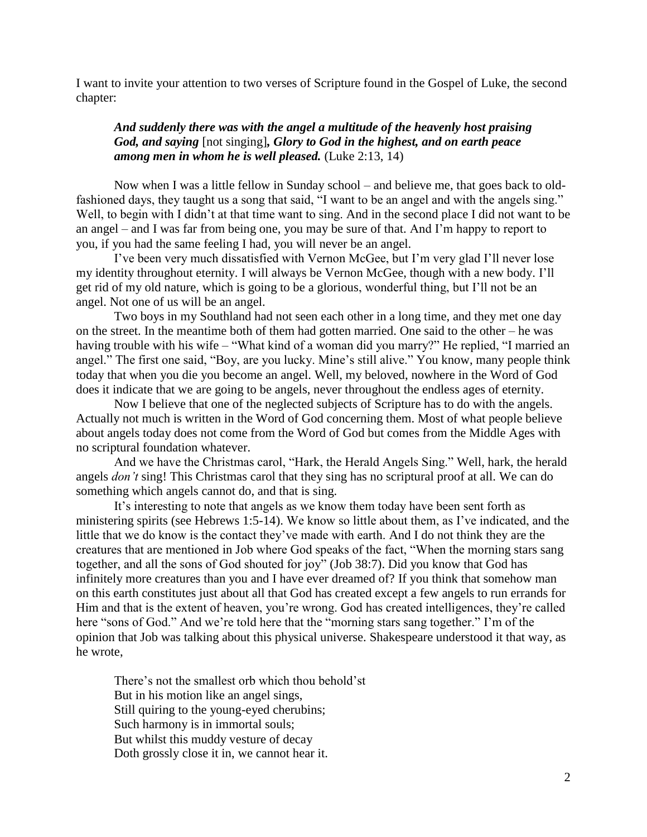I want to invite your attention to two verses of Scripture found in the Gospel of Luke, the second chapter:

## *And suddenly there was with the angel a multitude of the heavenly host praising God, and saying* [not singing]*, Glory to God in the highest, and on earth peace among men in whom he is well pleased.* (Luke 2:13, 14)

Now when I was a little fellow in Sunday school – and believe me, that goes back to oldfashioned days, they taught us a song that said, "I want to be an angel and with the angels sing." Well, to begin with I didn't at that time want to sing. And in the second place I did not want to be an angel – and I was far from being one, you may be sure of that. And I'm happy to report to you, if you had the same feeling I had, you will never be an angel.

I've been very much dissatisfied with Vernon McGee, but I'm very glad I'll never lose my identity throughout eternity. I will always be Vernon McGee, though with a new body. I'll get rid of my old nature, which is going to be a glorious, wonderful thing, but I'll not be an angel. Not one of us will be an angel.

Two boys in my Southland had not seen each other in a long time, and they met one day on the street. In the meantime both of them had gotten married. One said to the other – he was having trouble with his wife – "What kind of a woman did you marry?" He replied, "I married an angel." The first one said, "Boy, are you lucky. Mine's still alive." You know, many people think today that when you die you become an angel. Well, my beloved, nowhere in the Word of God does it indicate that we are going to be angels, never throughout the endless ages of eternity.

Now I believe that one of the neglected subjects of Scripture has to do with the angels. Actually not much is written in the Word of God concerning them. Most of what people believe about angels today does not come from the Word of God but comes from the Middle Ages with no scriptural foundation whatever.

And we have the Christmas carol, "Hark, the Herald Angels Sing." Well, hark, the herald angels *don't* sing! This Christmas carol that they sing has no scriptural proof at all. We can do something which angels cannot do, and that is sing.

It's interesting to note that angels as we know them today have been sent forth as ministering spirits (see Hebrews 1:5-14). We know so little about them, as I've indicated, and the little that we do know is the contact they've made with earth. And I do not think they are the creatures that are mentioned in Job where God speaks of the fact, "When the morning stars sang together, and all the sons of God shouted for joy" (Job 38:7). Did you know that God has infinitely more creatures than you and I have ever dreamed of? If you think that somehow man on this earth constitutes just about all that God has created except a few angels to run errands for Him and that is the extent of heaven, you're wrong. God has created intelligences, they're called here "sons of God." And we're told here that the "morning stars sang together." I'm of the opinion that Job was talking about this physical universe. Shakespeare understood it that way, as he wrote,

There's not the smallest orb which thou behold'st But in his motion like an angel sings, Still quiring to the young-eyed cherubins; Such harmony is in immortal souls; But whilst this muddy vesture of decay Doth grossly close it in, we cannot hear it.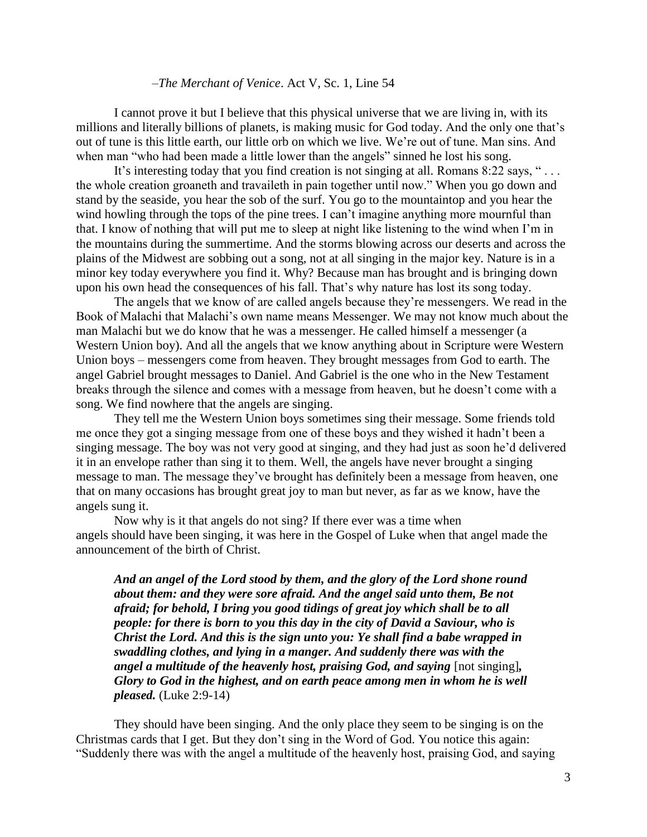## –*The Merchant of Venice*. Act V, Sc. 1, Line 54

I cannot prove it but I believe that this physical universe that we are living in, with its millions and literally billions of planets, is making music for God today. And the only one that's out of tune is this little earth, our little orb on which we live. We're out of tune. Man sins. And when man "who had been made a little lower than the angels" sinned he lost his song.

It's interesting today that you find creation is not singing at all. Romans 8:22 says, "... the whole creation groaneth and travaileth in pain together until now." When you go down and stand by the seaside, you hear the sob of the surf. You go to the mountaintop and you hear the wind howling through the tops of the pine trees. I can't imagine anything more mournful than that. I know of nothing that will put me to sleep at night like listening to the wind when I'm in the mountains during the summertime. And the storms blowing across our deserts and across the plains of the Midwest are sobbing out a song, not at all singing in the major key. Nature is in a minor key today everywhere you find it. Why? Because man has brought and is bringing down upon his own head the consequences of his fall. That's why nature has lost its song today.

The angels that we know of are called angels because they're messengers. We read in the Book of Malachi that Malachi's own name means Messenger. We may not know much about the man Malachi but we do know that he was a messenger. He called himself a messenger (a Western Union boy). And all the angels that we know anything about in Scripture were Western Union boys – messengers come from heaven. They brought messages from God to earth. The angel Gabriel brought messages to Daniel. And Gabriel is the one who in the New Testament breaks through the silence and comes with a message from heaven, but he doesn't come with a song. We find nowhere that the angels are singing.

They tell me the Western Union boys sometimes sing their message. Some friends told me once they got a singing message from one of these boys and they wished it hadn't been a singing message. The boy was not very good at singing, and they had just as soon he'd delivered it in an envelope rather than sing it to them. Well, the angels have never brought a singing message to man. The message they've brought has definitely been a message from heaven, one that on many occasions has brought great joy to man but never, as far as we know, have the angels sung it.

Now why is it that angels do not sing? If there ever was a time when angels should have been singing, it was here in the Gospel of Luke when that angel made the announcement of the birth of Christ.

*And an angel of the Lord stood by them, and the glory of the Lord shone round about them: and they were sore afraid. And the angel said unto them, Be not afraid; for behold, I bring you good tidings of great joy which shall be to all people: for there is born to you this day in the city of David a Saviour, who is Christ the Lord. And this is the sign unto you: Ye shall find a babe wrapped in swaddling clothes, and lying in a manger. And suddenly there was with the angel a multitude of the heavenly host, praising God, and saying* [not singing]*, Glory to God in the highest, and on earth peace among men in whom he is well pleased.* (Luke 2:9-14)

They should have been singing. And the only place they seem to be singing is on the Christmas cards that I get. But they don't sing in the Word of God. You notice this again: "Suddenly there was with the angel a multitude of the heavenly host, praising God, and saying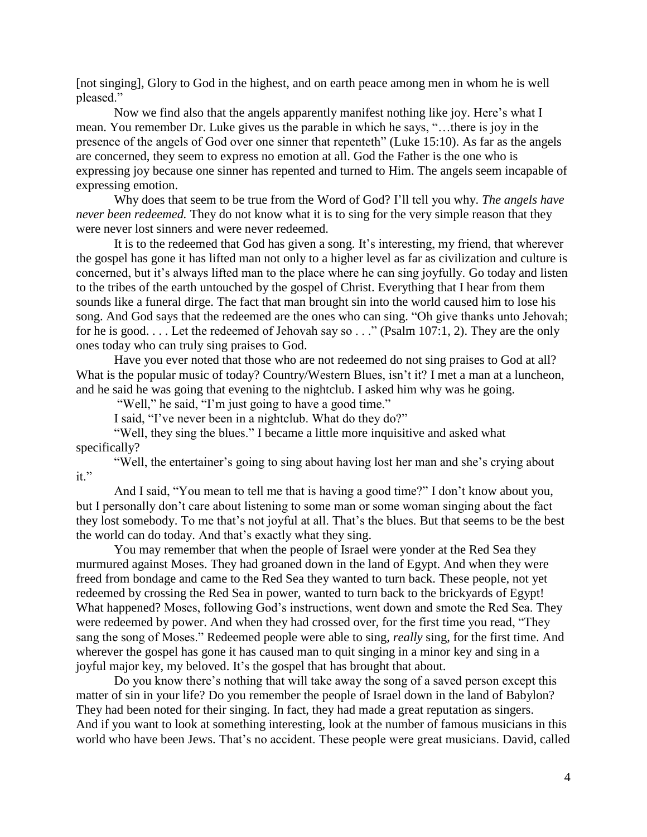[not singing], Glory to God in the highest, and on earth peace among men in whom he is well pleased."

Now we find also that the angels apparently manifest nothing like joy. Here's what I mean. You remember Dr. Luke gives us the parable in which he says, "…there is joy in the presence of the angels of God over one sinner that repenteth" (Luke 15:10). As far as the angels are concerned, they seem to express no emotion at all. God the Father is the one who is expressing joy because one sinner has repented and turned to Him. The angels seem incapable of expressing emotion.

Why does that seem to be true from the Word of God? I'll tell you why. *The angels have never been redeemed.* They do not know what it is to sing for the very simple reason that they were never lost sinners and were never redeemed.

It is to the redeemed that God has given a song. It's interesting, my friend, that wherever the gospel has gone it has lifted man not only to a higher level as far as civilization and culture is concerned, but it's always lifted man to the place where he can sing joyfully. Go today and listen to the tribes of the earth untouched by the gospel of Christ. Everything that I hear from them sounds like a funeral dirge. The fact that man brought sin into the world caused him to lose his song. And God says that the redeemed are the ones who can sing. "Oh give thanks unto Jehovah; for he is good. . . . Let the redeemed of Jehovah say so . . ." (Psalm 107:1, 2). They are the only ones today who can truly sing praises to God.

Have you ever noted that those who are not redeemed do not sing praises to God at all? What is the popular music of today? Country/Western Blues, isn't it? I met a man at a luncheon, and he said he was going that evening to the nightclub. I asked him why was he going.

"Well," he said, "I'm just going to have a good time."

I said, "I've never been in a nightclub. What do they do?"

"Well, they sing the blues." I became a little more inquisitive and asked what specifically?

"Well, the entertainer's going to sing about having lost her man and she's crying about  $it$ "

And I said, "You mean to tell me that is having a good time?" I don't know about you, but I personally don't care about listening to some man or some woman singing about the fact they lost somebody. To me that's not joyful at all. That's the blues. But that seems to be the best the world can do today. And that's exactly what they sing.

You may remember that when the people of Israel were yonder at the Red Sea they murmured against Moses. They had groaned down in the land of Egypt. And when they were freed from bondage and came to the Red Sea they wanted to turn back. These people, not yet redeemed by crossing the Red Sea in power, wanted to turn back to the brickyards of Egypt! What happened? Moses, following God's instructions, went down and smote the Red Sea. They were redeemed by power. And when they had crossed over, for the first time you read, "They sang the song of Moses." Redeemed people were able to sing, *really* sing, for the first time. And wherever the gospel has gone it has caused man to quit singing in a minor key and sing in a joyful major key, my beloved. It's the gospel that has brought that about.

Do you know there's nothing that will take away the song of a saved person except this matter of sin in your life? Do you remember the people of Israel down in the land of Babylon? They had been noted for their singing. In fact, they had made a great reputation as singers. And if you want to look at something interesting, look at the number of famous musicians in this world who have been Jews. That's no accident. These people were great musicians. David, called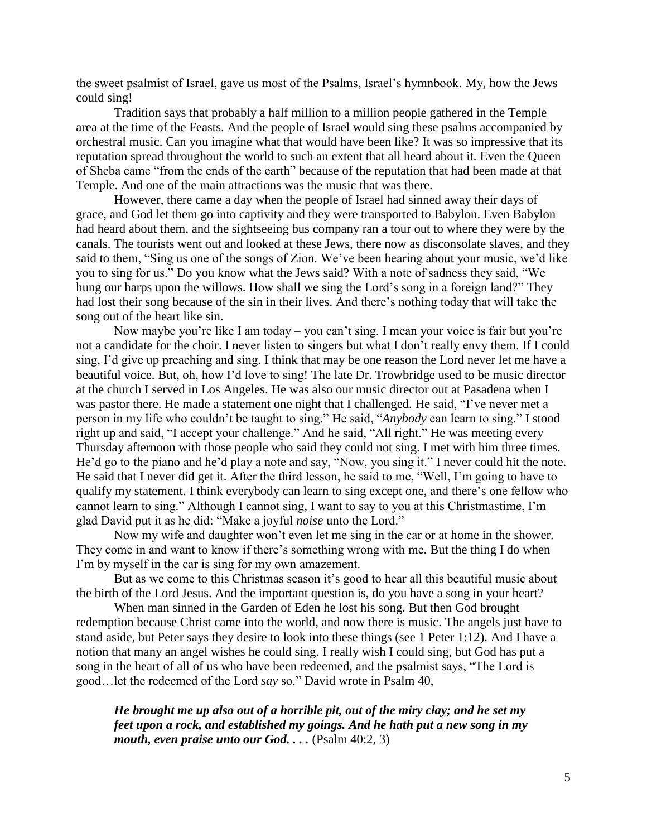the sweet psalmist of Israel, gave us most of the Psalms, Israel's hymnbook. My, how the Jews could sing!

Tradition says that probably a half million to a million people gathered in the Temple area at the time of the Feasts. And the people of Israel would sing these psalms accompanied by orchestral music. Can you imagine what that would have been like? It was so impressive that its reputation spread throughout the world to such an extent that all heard about it. Even the Queen of Sheba came "from the ends of the earth" because of the reputation that had been made at that Temple. And one of the main attractions was the music that was there.

However, there came a day when the people of Israel had sinned away their days of grace, and God let them go into captivity and they were transported to Babylon. Even Babylon had heard about them, and the sightseeing bus company ran a tour out to where they were by the canals. The tourists went out and looked at these Jews, there now as disconsolate slaves, and they said to them, "Sing us one of the songs of Zion. We've been hearing about your music, we'd like you to sing for us." Do you know what the Jews said? With a note of sadness they said, "We hung our harps upon the willows. How shall we sing the Lord's song in a foreign land?" They had lost their song because of the sin in their lives. And there's nothing today that will take the song out of the heart like sin.

Now maybe you're like I am today – you can't sing. I mean your voice is fair but you're not a candidate for the choir. I never listen to singers but what I don't really envy them. If I could sing, I'd give up preaching and sing. I think that may be one reason the Lord never let me have a beautiful voice. But, oh, how I'd love to sing! The late Dr. Trowbridge used to be music director at the church I served in Los Angeles. He was also our music director out at Pasadena when I was pastor there. He made a statement one night that I challenged. He said, "I've never met a person in my life who couldn't be taught to sing." He said, "*Anybody* can learn to sing." I stood right up and said, "I accept your challenge." And he said, "All right." He was meeting every Thursday afternoon with those people who said they could not sing. I met with him three times. He'd go to the piano and he'd play a note and say, "Now, you sing it." I never could hit the note. He said that I never did get it. After the third lesson, he said to me, "Well, I'm going to have to qualify my statement. I think everybody can learn to sing except one, and there's one fellow who cannot learn to sing." Although I cannot sing, I want to say to you at this Christmastime, I'm glad David put it as he did: "Make a joyful *noise* unto the Lord."

Now my wife and daughter won't even let me sing in the car or at home in the shower. They come in and want to know if there's something wrong with me. But the thing I do when I'm by myself in the car is sing for my own amazement.

But as we come to this Christmas season it's good to hear all this beautiful music about the birth of the Lord Jesus. And the important question is, do you have a song in your heart?

When man sinned in the Garden of Eden he lost his song. But then God brought redemption because Christ came into the world, and now there is music. The angels just have to stand aside, but Peter says they desire to look into these things (see 1 Peter 1:12). And I have a notion that many an angel wishes he could sing. I really wish I could sing, but God has put a song in the heart of all of us who have been redeemed, and the psalmist says, "The Lord is good…let the redeemed of the Lord *say* so." David wrote in Psalm 40,

*He brought me up also out of a horrible pit, out of the miry clay; and he set my feet upon a rock, and established my goings. And he hath put a new song in my mouth, even praise unto our God. . . .* (Psalm 40:2, 3)